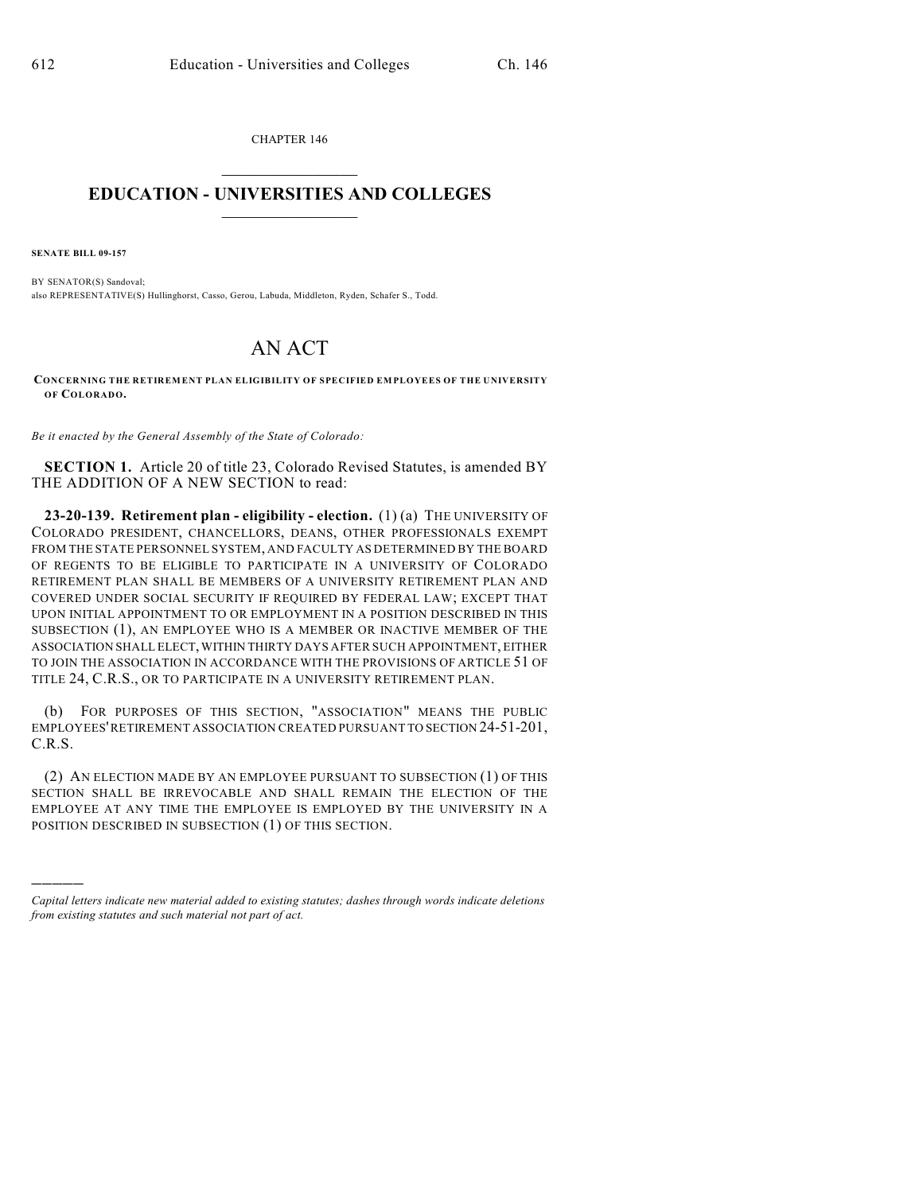CHAPTER 146  $\overline{\phantom{a}}$  . The set of the set of the set of the set of the set of the set of the set of the set of the set of the set of the set of the set of the set of the set of the set of the set of the set of the set of the set o

## **EDUCATION - UNIVERSITIES AND COLLEGES**  $\frac{1}{2}$  ,  $\frac{1}{2}$  ,  $\frac{1}{2}$  ,  $\frac{1}{2}$  ,  $\frac{1}{2}$  ,  $\frac{1}{2}$  ,  $\frac{1}{2}$

**SENATE BILL 09-157**

)))))

BY SENATOR(S) Sandoval; also REPRESENTATIVE(S) Hullinghorst, Casso, Gerou, Labuda, Middleton, Ryden, Schafer S., Todd.

## AN ACT

**CONCERNING THE RETIREMENT PLAN ELIGIBILITY OF SPECIFIED EMPLOYEES OF THE UNIVERSITY OF COLORADO.**

*Be it enacted by the General Assembly of the State of Colorado:*

**SECTION 1.** Article 20 of title 23, Colorado Revised Statutes, is amended BY THE ADDITION OF A NEW SECTION to read:

**23-20-139. Retirement plan - eligibility - election.** (1) (a) THE UNIVERSITY OF COLORADO PRESIDENT, CHANCELLORS, DEANS, OTHER PROFESSIONALS EXEMPT FROM THE STATE PERSONNEL SYSTEM, AND FACULTY AS DETERMINED BY THE BOARD OF REGENTS TO BE ELIGIBLE TO PARTICIPATE IN A UNIVERSITY OF COLORADO RETIREMENT PLAN SHALL BE MEMBERS OF A UNIVERSITY RETIREMENT PLAN AND COVERED UNDER SOCIAL SECURITY IF REQUIRED BY FEDERAL LAW; EXCEPT THAT UPON INITIAL APPOINTMENT TO OR EMPLOYMENT IN A POSITION DESCRIBED IN THIS SUBSECTION (1), AN EMPLOYEE WHO IS A MEMBER OR INACTIVE MEMBER OF THE ASSOCIATION SHALL ELECT, WITHIN THIRTY DAYS AFTER SUCH APPOINTMENT, EITHER TO JOIN THE ASSOCIATION IN ACCORDANCE WITH THE PROVISIONS OF ARTICLE 51 OF TITLE 24, C.R.S., OR TO PARTICIPATE IN A UNIVERSITY RETIREMENT PLAN.

(b) FOR PURPOSES OF THIS SECTION, "ASSOCIATION" MEANS THE PUBLIC EMPLOYEES' RETIREMENT ASSOCIATION CREATED PURSUANT TO SECTION 24-51-201, C.R.S.

(2) AN ELECTION MADE BY AN EMPLOYEE PURSUANT TO SUBSECTION (1) OF THIS SECTION SHALL BE IRREVOCABLE AND SHALL REMAIN THE ELECTION OF THE EMPLOYEE AT ANY TIME THE EMPLOYEE IS EMPLOYED BY THE UNIVERSITY IN A POSITION DESCRIBED IN SUBSECTION (1) OF THIS SECTION.

*Capital letters indicate new material added to existing statutes; dashes through words indicate deletions from existing statutes and such material not part of act.*